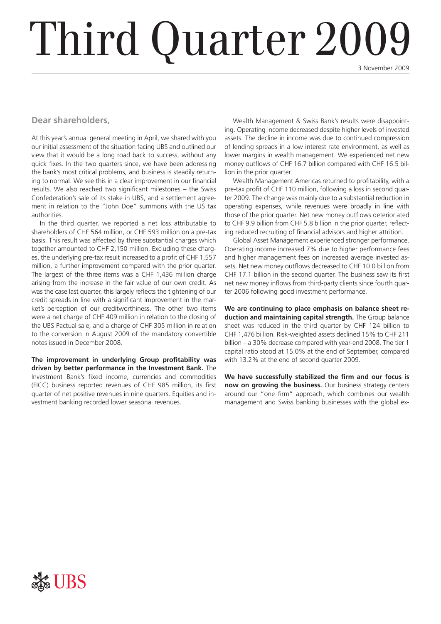# Third Quarter 2009

3 November 2009

#### **Dear shareholders,**

At this year's annual general meeting in April, we shared with you our initial assessment of the situation facing UBS and outlined our view that it would be a long road back to success, without any quick fixes. In the two quarters since, we have been addressing the bank's most critical problems, and business is steadily returning to normal. We see this in a clear improvement in our financial results. We also reached two significant milestones – the Swiss Confederation's sale of its stake in UBS, and a settlement agreement in relation to the "John Doe" summons with the US tax authorities.

In the third quarter, we reported a net loss attributable to shareholders of CHF 564 million, or CHF 593 million on a pre-tax basis. This result was affected by three substantial charges which together amounted to CHF 2,150 million. Excluding these charges, the underlying pre-tax result increased to a profit of CHF 1,557 million, a further improvement compared with the prior quarter. The largest of the three items was a CHF 1,436 million charge arising from the increase in the fair value of our own credit. As was the case last quarter, this largely reflects the tightening of our credit spreads in line with a significant improvement in the market's perception of our creditworthiness. The other two items were a net charge of CHF 409 million in relation to the closing of the UBS Pactual sale, and a charge of CHF 305 million in relation to the conversion in August 2009 of the mandatory convertible notes issued in December 2008.

**The improvement in underlying Group profitability was driven by better performance in the Investment Bank.** The Investment Bank's fixed income, currencies and commodities (FICC) business reported revenues of CHF 985 million, its first quarter of net positive revenues in nine quarters. Equities and investment banking recorded lower seasonal revenues.

Wealth Management & Swiss Bank's results were disappointing. Operating income decreased despite higher levels of invested assets. The decline in income was due to continued compression of lending spreads in a low interest rate environment, as well as lower margins in wealth management. We experienced net new money outflows of CHF 16.7 billion compared with CHF 16.5 billion in the prior quarter.

Wealth Management Americas returned to profitability, with a pre-tax profit of CHF 110 million, following a loss in second quarter 2009. The change was mainly due to a substantial reduction in operating expenses, while revenues were broadly in line with those of the prior quarter. Net new money outflows deterioriated to CHF 9.9 billion from CHF 5.8 billion in the prior quarter, reflecting reduced recruiting of financial advisors and higher attrition.

Global Asset Management experienced stronger performance. Operating income increased 7% due to higher performance fees and higher management fees on increased average invested assets. Net new money outflows decreased to CHF 10.0 billion from CHF 17.1 billion in the second quarter. The business saw its first net new money inflows from third-party clients since fourth quarter 2006 following good investment performance.

**We are continuing to place emphasis on balance sheet reduction and maintaining capital strength.** The Group balance sheet was reduced in the third quarter by CHF 124 billion to CHF 1,476 billion. Risk-weighted assets declined 15% to CHF 211 billion – a 30% decrease compared with year-end 2008. The tier 1 capital ratio stood at 15.0% at the end of September, compared with 13.2% at the end of second quarter 2009.

**We have successfully stabilized the firm and our focus is now on growing the business.** Our business strategy centers around our "one firm" approach, which combines our wealth management and Swiss banking businesses with the global ex-

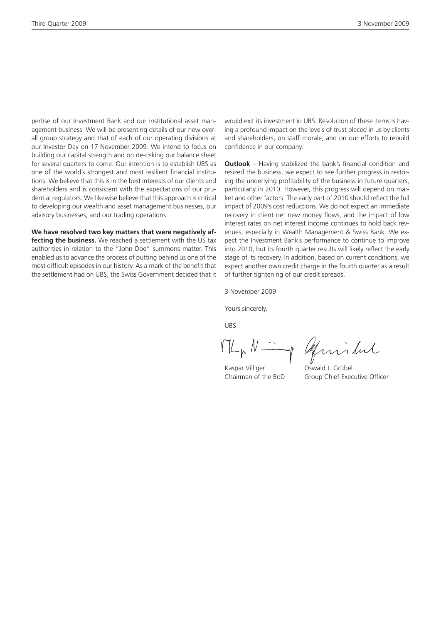pertise of our Investment Bank and our institutional asset management business. We will be presenting details of our new overall group strategy and that of each of our operating divisions at our Investor Day on 17 November 2009. We intend to focus on building our capital strength and on de-risking our balance sheet for several quarters to come. Our intention is to establish UBS as one of the world's strongest and most resilient financial institutions. We believe that this is in the best interests of our clients and shareholders and is consistent with the expectations of our prudential regulators. We likewise believe that this approach is critical to developing our wealth and asset management businesses, our advisory businesses, and our trading operations.

**We have resolved two key matters that were negatively affecting the business.** We reached a settlement with the US tax authorities in relation to the "John Doe" summons matter. This enabled us to advance the process of putting behind us one of the most difficult episodes in our history. As a mark of the benefit that the settlement had on UBS, the Swiss Government decided that it would exit its investment in UBS. Resolution of these items is having a profound impact on the levels of trust placed in us by clients and shareholders, on staff morale, and on our efforts to rebuild confidence in our company.

**Outlook** – Having stabilized the bank's financial condition and resized the business, we expect to see further progress in restoring the underlying profitability of the business in future quarters, particularly in 2010. However, this progress will depend on market and other factors. The early part of 2010 should reflect the full impact of 2009's cost reductions. We do not expect an immediate recovery in client net new money flows, and the impact of low interest rates on net interest income continues to hold back revenues, especially in Wealth Management & Swiss Bank. We expect the Investment Bank's performance to continue to improve into 2010, but its fourth quarter results will likely reflect the early stage of its recovery. In addition, based on current conditions, we expect another own credit charge in the fourth quarter as a result of further tightening of our credit spreads.

3 November 2009

Yours sincerely,

UBS

 $ML_{p}N-$ 

Kaspar Villiger **Oswald J. Grübel** 

of givilar

Chairman of the BoD Group Chief Executive Officer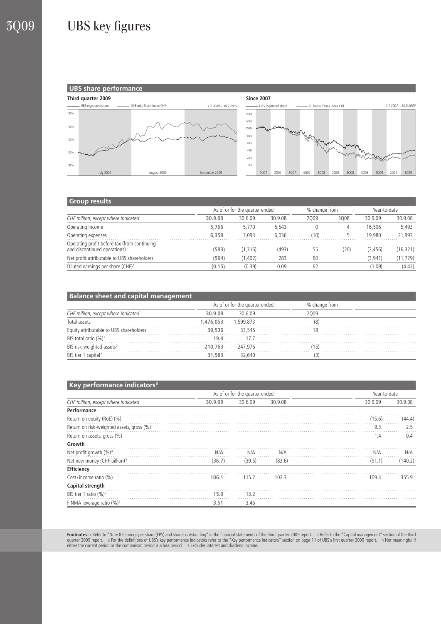## 3Q09 UBS key figures



#### **Group results**

|                                                                              | As of or for the quarter ended |         |         | % change from |      | Year-to-date |           |
|------------------------------------------------------------------------------|--------------------------------|---------|---------|---------------|------|--------------|-----------|
| CHF million, except where indicated                                          | 30.9.09                        | 30.6.09 | 30.9.08 | 2009          | 3008 | 30.9.09      | 30.9.08   |
| Operating income                                                             | 5.766                          | 5.770   | 5.543   |               | 4    | 16.506       | 5.493     |
| Operating expenses                                                           | 6.359                          | 7.093   | 6.036   | (10)          |      | 19.980       | 21,993    |
| Operating profit before tax (from continuing<br>and discontinued operations) | (593)                          | (1.316) | (493)   | 55            | (20) | (3.456)      | (16, 321) |
| Net profit attributable to UBS shareholders                                  | (564)                          | (1,402) | 283     | 60            |      | (3,941)      | (11, 729) |
| Diluted earnings per share (CHF) <sup>1</sup>                                | (0.15)                         | (0.39)  | 0.09    | 62            |      | (1.09)       | (4.42)    |

| <b>Balance sheet and capital management</b> |                 |                                |               |  |  |  |  |  |
|---------------------------------------------|-----------------|--------------------------------|---------------|--|--|--|--|--|
| CHF million, except where indicated         |                 | As of or for the quarter ended | % change from |  |  |  |  |  |
|                                             | 30.9.09         | 30609                          | 2009          |  |  |  |  |  |
| Total assets                                | 1.476.053       | 1.599.873                      |               |  |  |  |  |  |
| Equity attributable to UBS shareholders     | 39.536          | 33.545                         |               |  |  |  |  |  |
| BIS total ratio (%) <sup>2</sup>            | 19 <sub>4</sub> | 17.7                           |               |  |  |  |  |  |
| BIS risk-weighted assets <sup>2</sup>       | 210.763         | 247.976                        |               |  |  |  |  |  |
| BIS tier 1 capital <sup>2</sup>             | 31,583          | 32,640                         |               |  |  |  |  |  |

#### **ARE101 Key performance indicators3**

| <b>Ney performance indicators</b>         |         | As of or for the quarter ended |         | Year-to-date |         |
|-------------------------------------------|---------|--------------------------------|---------|--------------|---------|
|                                           |         |                                |         |              |         |
| CHF million, except where indicated       | 30.9.09 | 30.6.09                        | 30.9.08 | 30.9.09      | 30.9.08 |
| Performance                               |         |                                |         |              |         |
| Return on equity (RoE) (%)                |         |                                |         | (15.6)       | (44.4)  |
| Return on risk-weighted assets, gross (%) |         |                                |         | 9.3          | 2.5     |
| Return on assets, gross (%)               |         |                                |         | 1.4          | 0.4     |
| Growth                                    |         |                                |         |              |         |
| Net profit growth $(\%)^4$                | N/A     | N/A                            | N/A     | N/A          | N/A     |
| Net new money (CHF billion) <sup>5</sup>  | (36.7)  | (39.5)                         | (83.6)  | (91.1)       | (140.2) |
| Efficiency                                |         |                                |         |              |         |
| Cost/income ratio (%)                     | 106.1   | 115.2                          | 102.3   | 109.4        | 355.9   |
| Capital strength                          |         |                                |         |              |         |
| BIS tier 1 ratio $(\%)^2$                 | 15.0    | 13.2                           |         |              |         |
| FINMA leverage ratio (%) <sup>2</sup>     | 3.51    | 3.46                           |         |              |         |

Footnotes: 1 Refer to "Note 8 Earnings per share (EPS) and shares outstanding" in the financial statements of the third quarter 2009 report. 2 Refer to the "Capital management" section of the third<br>quarter 2009 report. 3 F